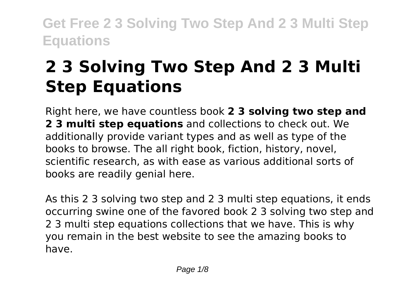# **2 3 Solving Two Step And 2 3 Multi Step Equations**

Right here, we have countless book **2 3 solving two step and 2 3 multi step equations** and collections to check out. We additionally provide variant types and as well as type of the books to browse. The all right book, fiction, history, novel, scientific research, as with ease as various additional sorts of books are readily genial here.

As this 2 3 solving two step and 2 3 multi step equations, it ends occurring swine one of the favored book 2 3 solving two step and 2 3 multi step equations collections that we have. This is why you remain in the best website to see the amazing books to have.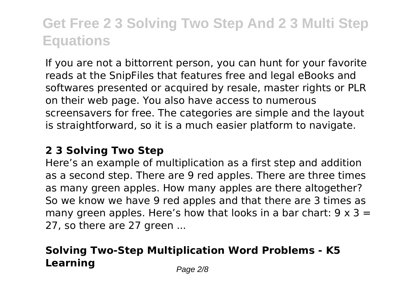If you are not a bittorrent person, you can hunt for your favorite reads at the SnipFiles that features free and legal eBooks and softwares presented or acquired by resale, master rights or PLR on their web page. You also have access to numerous screensavers for free. The categories are simple and the layout is straightforward, so it is a much easier platform to navigate.

#### **2 3 Solving Two Step**

Here's an example of multiplication as a first step and addition as a second step. There are 9 red apples. There are three times as many green apples. How many apples are there altogether? So we know we have 9 red apples and that there are 3 times as many green apples. Here's how that looks in a bar chart:  $9 \times 3 =$ 27, so there are 27 green ...

### **Solving Two-Step Multiplication Word Problems - K5 Learning** Page 2/8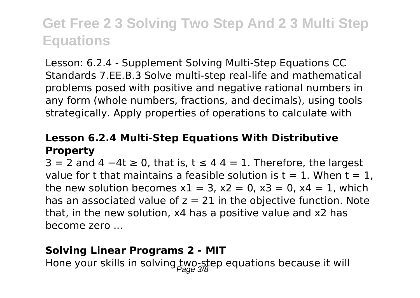Lesson: 6.2.4 - Supplement Solving Multi-Step Equations CC Standards 7.EE.B.3 Solve multi-step real-life and mathematical problems posed with positive and negative rational numbers in any form (whole numbers, fractions, and decimals), using tools strategically. Apply properties of operations to calculate with

#### **Lesson 6.2.4 Multi-Step Equations With Distributive Property**

 $3 = 2$  and  $4 - 4t \ge 0$ , that is,  $t \le 4$  4 = 1. Therefore, the largest value for t that maintains a feasible solution is  $t = 1$ . When  $t = 1$ . the new solution becomes  $x1 = 3$ ,  $x2 = 0$ ,  $x3 = 0$ ,  $x4 = 1$ , which has an associated value of  $z = 21$  in the objective function. Note that, in the new solution, x4 has a positive value and x2 has become zero ...

#### **Solving Linear Programs 2 - MIT**

Hone your skills in solving  $two\text{-}step$  equations because it will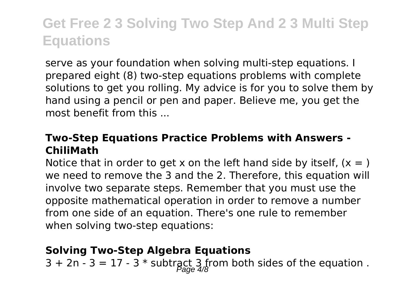serve as your foundation when solving multi-step equations. I prepared eight (8) two-step equations problems with complete solutions to get you rolling. My advice is for you to solve them by hand using a pencil or pen and paper. Believe me, you get the most benefit from this ...

#### **Two-Step Equations Practice Problems with Answers - ChiliMath**

Notice that in order to get x on the left hand side by itself,  $(x = 1)$ we need to remove the 3 and the 2. Therefore, this equation will involve two separate steps. Remember that you must use the opposite mathematical operation in order to remove a number from one side of an equation. There's one rule to remember when solving two-step equations:

#### **Solving Two-Step Algebra Equations**

 $3 + 2n - 3 = 17 - 3 *$  subtract 3 from both sides of the equation.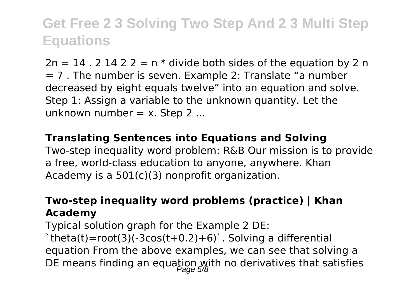$2n = 14$ . 2 14 2 2 = n  $*$  divide both sides of the equation by 2 n  $= 7$ . The number is seven. Example 2: Translate "a number decreased by eight equals twelve" into an equation and solve. Step 1: Assign a variable to the unknown quantity. Let the unknown number  $= x$ . Step 2 ...

#### **Translating Sentences into Equations and Solving**

Two-step inequality word problem: R&B Our mission is to provide a free, world-class education to anyone, anywhere. Khan Academy is a 501(c)(3) nonprofit organization.

### **Two-step inequality word problems (practice) | Khan Academy**

Typical solution graph for the Example 2 DE:  $'$ theta(t)=root(3)(-3cos(t+0.2)+6) $'$ . Solving a differential equation From the above examples, we can see that solving a DE means finding an equation with no derivatives that satisfies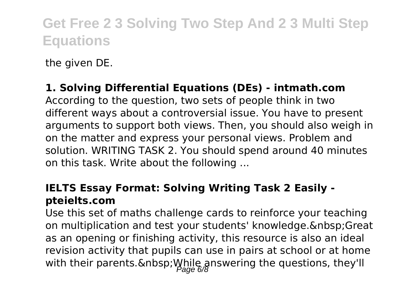the given DE.

### **1. Solving Differential Equations (DEs) - intmath.com**

According to the question, two sets of people think in two different ways about a controversial issue. You have to present arguments to support both views. Then, you should also weigh in on the matter and express your personal views. Problem and solution. WRITING TASK 2. You should spend around 40 minutes on this task. Write about the following ...

### **IELTS Essay Format: Solving Writing Task 2 Easily pteielts.com**

Use this set of maths challenge cards to reinforce your teaching on multiplication and test your students' knowledge. & nbsp; Great as an opening or finishing activity, this resource is also an ideal revision activity that pupils can use in pairs at school or at home with their parents. & nbsp; While answering the questions, they'll